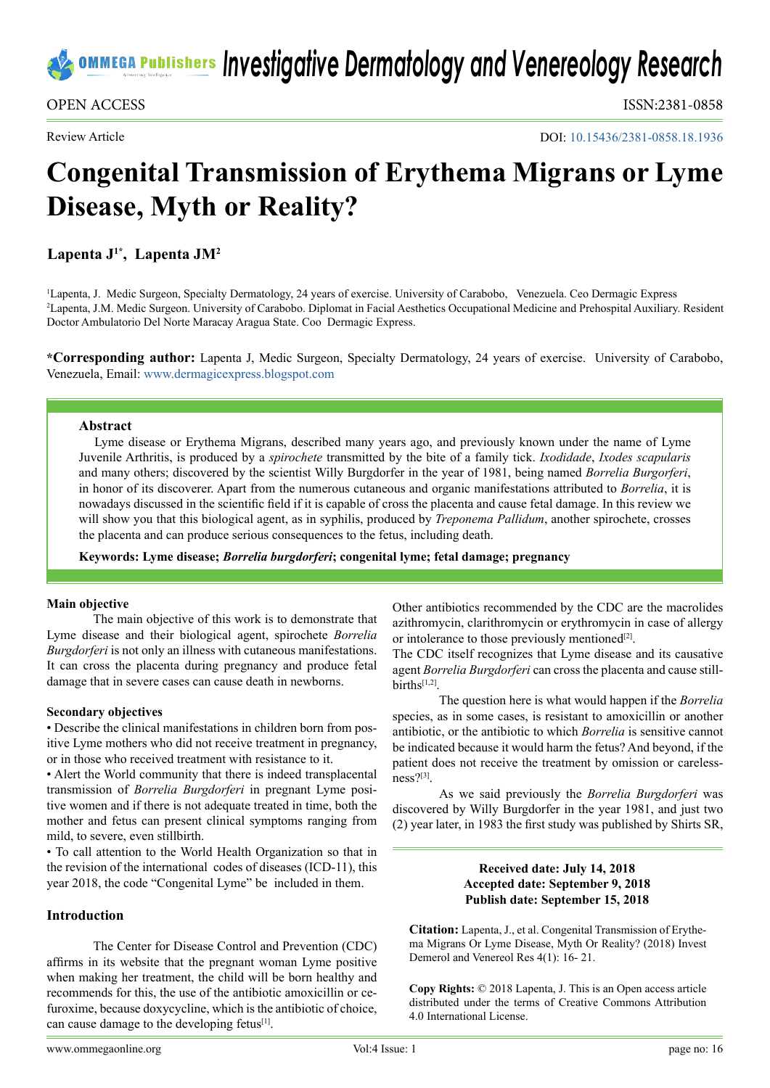OPEN ACCESS ISSN:2381-0858

Review Article

DOI: [10.15436/2381-0858.18.1](https://doi.org/10.15436/2381-0858.18.1936)936

# **Congenital Transmission of Erythema Migrans or Lyme Disease, Myth or Reality?**

**Lapenta J1\*, Lapenta JM2**

1 Lapenta, J. Medic Surgeon, Specialty Dermatology, 24 years of exercise. University of Carabobo, Venezuela. Ceo Dermagic Express 2 Lapenta, J.M. Medic Surgeon. University of Carabobo. Diplomat in Facial Aesthetics Occupational Medicine and Prehospital Auxiliary. Resident Doctor Ambulatorio Del Norte Maracay Aragua State. Coo Dermagic Express.

**\*Corresponding author:** Lapenta J, Medic Surgeon, Specialty Dermatology, 24 years of exercise. University of Carabobo, Venezuela, Email: [www.dermagicexpress.blogspot.com](http://www.dermagicexpress.blogspot.com)

## **Abstract**

Lyme disease or Erythema Migrans, described many years ago, and previously known under the name of Lyme Juvenile Arthritis, is produced by a *spirochete* transmitted by the bite of a family tick. *Ixodidade*, *Ixodes scapularis* and many others; discovered by the scientist Willy Burgdorfer in the year of 1981, being named *Borrelia Burgorferi*, in honor of its discoverer. Apart from the numerous cutaneous and organic manifestations attributed to *Borrelia*, it is nowadays discussed in the scientific field if it is capable of cross the placenta and cause fetal damage. In this review we will show you that this biological agent, as in syphilis, produced by *Treponema Pallidum*, another spirochete, crosses the placenta and can produce serious consequences to the fetus, including death.

**Keywords: Lyme disease;** *Borrelia burgdorferi***; congenital lyme; fetal damage; pregnancy**

## **Main objective**

The main objective of this work is to demonstrate that Lyme disease and their biological agent, spirochete *Borrelia Burgdorferi* is not only an illness with cutaneous manifestations. It can cross the placenta during pregnancy and produce fetal damage that in severe cases can cause death in newborns.

## **Secondary objectives**

• Describe the clinical manifestations in children born from positive Lyme mothers who did not receive treatment in pregnancy, or in those who received treatment with resistance to it.

• Alert the World community that there is indeed transplacental transmission of *Borrelia Burgdorferi* in pregnant Lyme positive women and if there is not adequate treated in time, both the mother and fetus can present clinical symptoms ranging from mild, to severe, even stillbirth.

• To call attention to the World Health Organization so that in the revision of the international codes of diseases (ICD-11), this year 2018, the code "Congenital Lyme" be included in them.

## **Introduction**

The Center for Disease Control and Prevention (CDC) affirms in its website that the pregnant woman Lyme positive when making her treatment, the child will be born healthy and recommends for this, the use of the antibiotic amoxicillin or cefuroxime, because doxycycline, which is the antibiotic of choice, can cause damage to the developing fetus<sup>[1]</sup>.

or intolerance to those previously mentioned $[2]$ . The CDC itself recognizes that Lyme disease and its causative agent *Borrelia Burgdorferi* can cross the placenta and cause stillbirth[s\[1,2\].](#page-3-0)

The question here is what would happen if the *Borrelia*  species, as in some cases, is resistant to amoxicillin or another antibiotic, or the antibiotic to which *Borrelia* is sensitive cannot be indicated because it would harm the fetus? And beyond, if the patient does not receive the treatment by omission or carelessness[?\[3\]](#page-3-2).

Other antibiotics recommended by the CDC are the macrolides azithromycin, clarithromycin or erythromycin in case of allergy

As we said previously the *Borrelia Burgdorferi* was discovered by Willy Burgdorfer in the year 1981, and just two (2) year later, in 1983 the first study was published by Shirts SR,

## **Received date: July 14, 2018 Accepted date: September 9, 2018 Publish date: September 15, 2018**

**Citation:** Lapenta, J., et al. Congenital Transmission of Erythema Migrans Or Lyme Disease, Myth Or Reality? (2018) Invest Demerol and Venereol Res 4(1): 16- 21.

**Copy Rights:** © 2018 Lapenta, J. This is an Open access article distributed under the terms of Creative Commons Attribution 4.0 International License.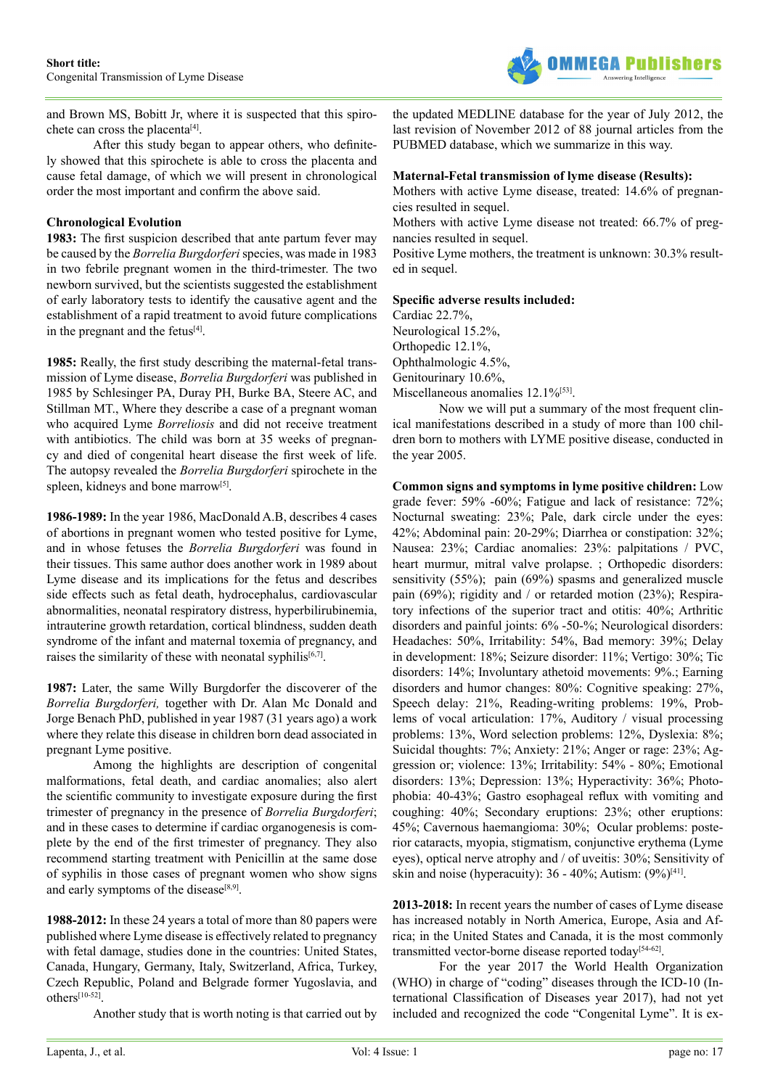

and Brown MS, Bobitt Jr, where it is suspected that this spirochete can cross the placenta<sup>[4]</sup>.

After this study began to appear others, who definitely showed that this spirochete is able to cross the placenta and cause fetal damage, of which we will present in chronological order the most important and confirm the above said.

## **Chronological Evolution**

**1983:** The first suspicion described that ante partum fever may be caused by the *Borrelia Burgdorferi* species, was made in 1983 in two febrile pregnant women in the third-trimester. The two newborn survived, but the scientists suggested the establishment of early laboratory tests to identify the causative agent and the establishment of a rapid treatment to avoid future complications in the pregnant and the fetus<sup>[\[4\]](#page-3-3)</sup>.

**1985:** Really, the first study describing the maternal-fetal transmission of Lyme disease, *Borrelia Burgdorferi* was published in 1985 by Schlesinger PA, Duray PH, Burke BA, Steere AC, and Stillman MT., Where they describe a case of a pregnant woman who acquired Lyme *Borreliosis* and did not receive treatment with antibiotics. The child was born at 35 weeks of pregnancy and died of congenital heart disease the first week of life. The autopsy revealed the *Borrelia Burgdorferi* spirochete in the spleen, kidneys and bone marrow<sup>[5]</sup>.

**1986-1989:** In the year 1986, MacDonald A.B, describes 4 cases of abortions in pregnant women who tested positive for Lyme, and in whose fetuses the *Borrelia Burgdorferi* was found in their tissues. This same author does another work in 1989 about Lyme disease and its implications for the fetus and describes side effects such as fetal death, hydrocephalus, cardiovascular abnormalities, neonatal respiratory distress, hyperbilirubinemia, intrauterine growth retardation, cortical blindness, sudden death syndrome of the infant and maternal toxemia of pregnancy, and raises the similarity of these with neonatal syphilis<sup>[6,7]</sup>.

**1987:** Later, the same Willy Burgdorfer the discoverer of the *Borrelia Burgdorferi,* together with Dr. Alan Mc Donald and Jorge Benach PhD, published in year 1987 (31 years ago) a work where they relate this disease in children born dead associated in pregnant Lyme positive.

Among the highlights are description of congenital malformations, fetal death, and cardiac anomalies; also alert the scientific community to investigate exposure during the first trimester of pregnancy in the presence of *Borrelia Burgdorferi*; and in these cases to determine if cardiac organogenesis is complete by the end of the first trimester of pregnancy. They also recommend starting treatment with Penicillin at the same dose of syphilis in those cases of pregnant women who show signs and early symptoms of the disease<sup>[8,9]</sup>.

**1988-2012:** In these 24 years a total of more than 80 papers were published where Lyme disease is effectively related to pregnancy with fetal damage, studies done in the countries: United States, Canada, Hungary, Germany, Italy, Switzerland, Africa, Turkey, Czech Republic, Poland and Belgrade former Yugoslavia, and other[s\[10-52\].](#page-3-7)

Another study that is worth noting is that carried out by

the updated MEDLINE database for the year of July 2012, the last revision of November 2012 of 88 journal articles from the PUBMED database, which we summarize in this way.

#### **Maternal-Fetal transmission of lyme disease (Results):**

Mothers with active Lyme disease, treated: 14.6% of pregnancies resulted in sequel.

Mothers with active Lyme disease not treated: 66.7% of pregnancies resulted in sequel.

Positive Lyme mothers, the treatment is unknown: 30.3% resulted in sequel.

#### **Specific adverse results included:**

Cardiac 22.7%, Neurological 15.2%, Orthopedic 12.1%, Ophthalmologic 4.5%, Genitourinary 10.6%, Miscellaneous anomalies 12.1%<sup>[\[53\]](#page-4-0)</sup>.

Now we will put a summary of the most frequent clinical manifestations described in a study of more than 100 children born to mothers with LYME positive disease, conducted in the year 2005.

**Common signs and symptoms in lyme positive children:** Low grade fever: 59% -60%; Fatigue and lack of resistance: 72%; Nocturnal sweating: 23%; Pale, dark circle under the eyes: 42%; Abdominal pain: 20-29%; Diarrhea or constipation: 32%; Nausea: 23%; Cardiac anomalies: 23%: palpitations / PVC, heart murmur, mitral valve prolapse. ; Orthopedic disorders: sensitivity (55%); pain (69%) spasms and generalized muscle pain (69%); rigidity and / or retarded motion (23%); Respiratory infections of the superior tract and otitis: 40%; Arthritic disorders and painful joints: 6% -50-%; Neurological disorders: Headaches: 50%, Irritability: 54%, Bad memory: 39%; Delay in development: 18%; Seizure disorder: 11%; Vertigo: 30%; Tic disorders: 14%; Involuntary athetoid movements: 9%.; Earning disorders and humor changes: 80%: Cognitive speaking: 27%, Speech delay: 21%, Reading-writing problems: 19%, Problems of vocal articulation: 17%, Auditory / visual processing problems: 13%, Word selection problems: 12%, Dyslexia: 8%; Suicidal thoughts: 7%; Anxiety: 21%; Anger or rage: 23%; Aggression or; violence: 13%; Irritability: 54% - 80%; Emotional disorders: 13%; Depression: 13%; Hyperactivity: 36%; Photophobia: 40-43%; Gastro esophageal reflux with vomiting and coughing: 40%; Secondary eruptions: 23%; other eruptions: 45%; Cavernous haemangioma: 30%; Ocular problems: posterior cataracts, myopia, stigmatism, conjunctive erythema (Lyme eyes), optical nerve atrophy and / of uveitis: 30%; Sensitivity of skin and noise (hyperacuity):  $36 - 40\%$ : Autism:  $(9\%)^{[41]}$  $(9\%)^{[41]}$  $(9\%)^{[41]}$ .

**2013-2018:** In recent years the number of cases of Lyme disease has increased notably in North America, Europe, Asia and Africa; in the United States and Canada, it is the most commonly transmitted vector-borne disease reported today<sup>[\[54-62\]](#page-4-2)</sup>.

For the year 2017 the World Health Organization (WHO) in charge of "coding" diseases through the ICD-10 (International Classification of Diseases year 2017), had not yet included and recognized the code "Congenital Lyme". It is ex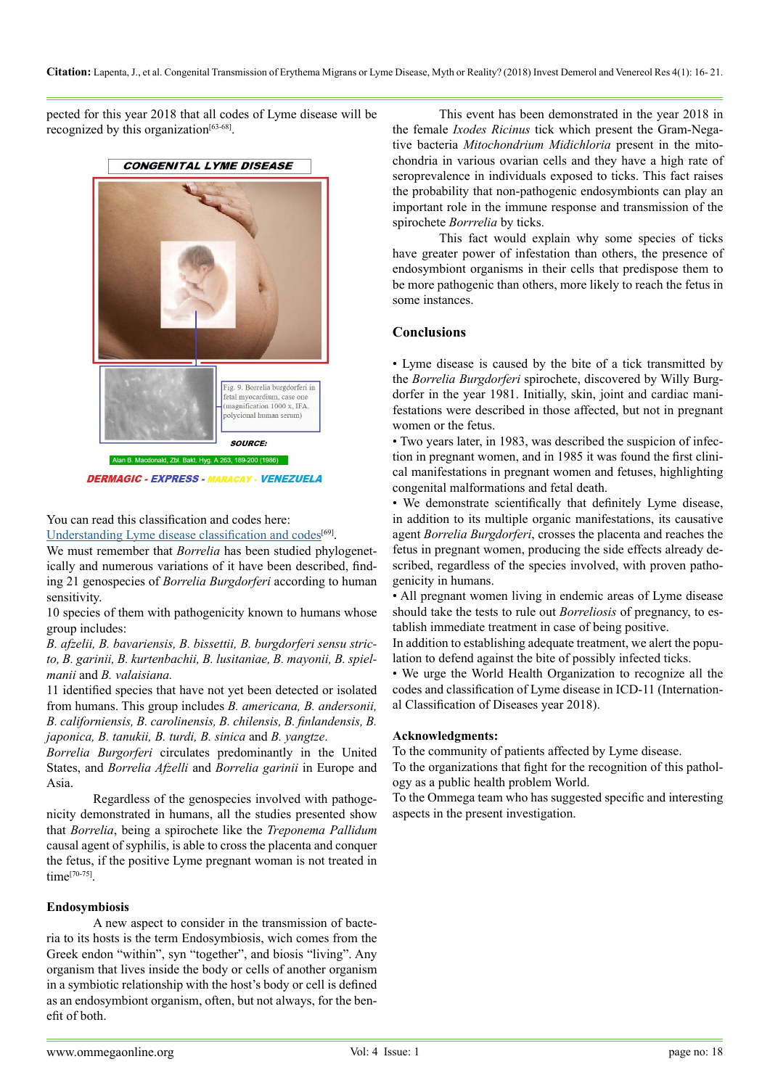pected for this year 2018 that all codes of Lyme disease will be recognized by this organization<sup>[\[63-68\]](#page-5-0)</sup>.





You can read this classification and codes here:

[Understanding Lyme disease classification and codes](https://www.ommegaonline.org/article-details/UNDERSTANDING-THE-LYME-DISEASE,-CLASSIFICATION-AND-CODES./1769)<sup>[\[69\]](#page-5-1)</sup>.

We must remember that *Borrelia* has been studied phylogenetically and numerous variations of it have been described, finding 21 genospecies of *Borrelia Burgdorferi* according to human sensitivity.

10 species of them with pathogenicity known to humans whose group includes:

*B. afzelii, B. bavariensis, B. bissettii, B. burgdorferi sensu stricto, B. garinii, B. kurtenbachii, B. lusitaniae, B. mayonii, B. spielmanii* and *B. valaisiana.*

11 identified species that have not yet been detected or isolated from humans. This group includes *B. americana, B. andersonii, B. californiensis, B. carolinensis, B. chilensis, B. finlandensis, B. japonica, B. tanukii, B. turdi, B. sinica* and *B. yangtze*.

*Borrelia Burgorferi* circulates predominantly in the United States, and *Borrelia Afzelli* and *Borrelia garinii* in Europe and Asia.

Regardless of the genospecies involved with pathogenicity demonstrated in humans, all the studies presented show that *Borrelia*, being a spirochete like the *Treponema Pallidum* causal agent of syphilis, is able to cross the placenta and conquer the fetus, if the positive Lyme pregnant woman is not treated in time[\[70-75\]](#page-5-2).

## **Endosymbiosis**

A new aspect to consider in the transmission of bacteria to its hosts is the term Endosymbiosis, wich comes from the Greek endon "within", syn "together", and biosis "living". Any organism that lives inside the body or cells of another organism in a symbiotic relationship with the host's body or cell is defined as an endosymbiont organism, often, but not always, for the benefit of both.

This event has been demonstrated in the year 2018 in the female *Ixodes Ricinus* tick which present the Gram-Negative bacteria *Mitochondrium Midichloria* present in the mitochondria in various ovarian cells and they have a high rate of seroprevalence in individuals exposed to ticks. This fact raises the probability that non-pathogenic endosymbionts can play an important role in the immune response and transmission of the spirochete *Borrrelia* by ticks.

This fact would explain why some species of ticks have greater power of infestation than others, the presence of endosymbiont organisms in their cells that predispose them to be more pathogenic than others, more likely to reach the fetus in some instances.

## **Conclusions**

• Lyme disease is caused by the bite of a tick transmitted by the *Borrelia Burgdorferi* spirochete, discovered by Willy Burgdorfer in the year 1981. Initially, skin, joint and cardiac manifestations were described in those affected, but not in pregnant women or the fetus.

• Two years later, in 1983, was described the suspicion of infection in pregnant women, and in 1985 it was found the first clinical manifestations in pregnant women and fetuses, highlighting congenital malformations and fetal death.

• We demonstrate scientifically that definitely Lyme disease, in addition to its multiple organic manifestations, its causative agent *Borrelia Burgdorferi*, crosses the placenta and reaches the fetus in pregnant women, producing the side effects already described, regardless of the species involved, with proven pathogenicity in humans.

• All pregnant women living in endemic areas of Lyme disease should take the tests to rule out *Borreliosis* of pregnancy, to establish immediate treatment in case of being positive.

In addition to establishing adequate treatment, we alert the population to defend against the bite of possibly infected ticks.

• We urge the World Health Organization to recognize all the codes and classification of Lyme disease in ICD-11 (International Classification of Diseases year 2018).

## **Acknowledgments:**

To the community of patients affected by Lyme disease.

To the organizations that fight for the recognition of this pathology as a public health problem World.

To the Ommega team who has suggested specific and interesting aspects in the present investigation.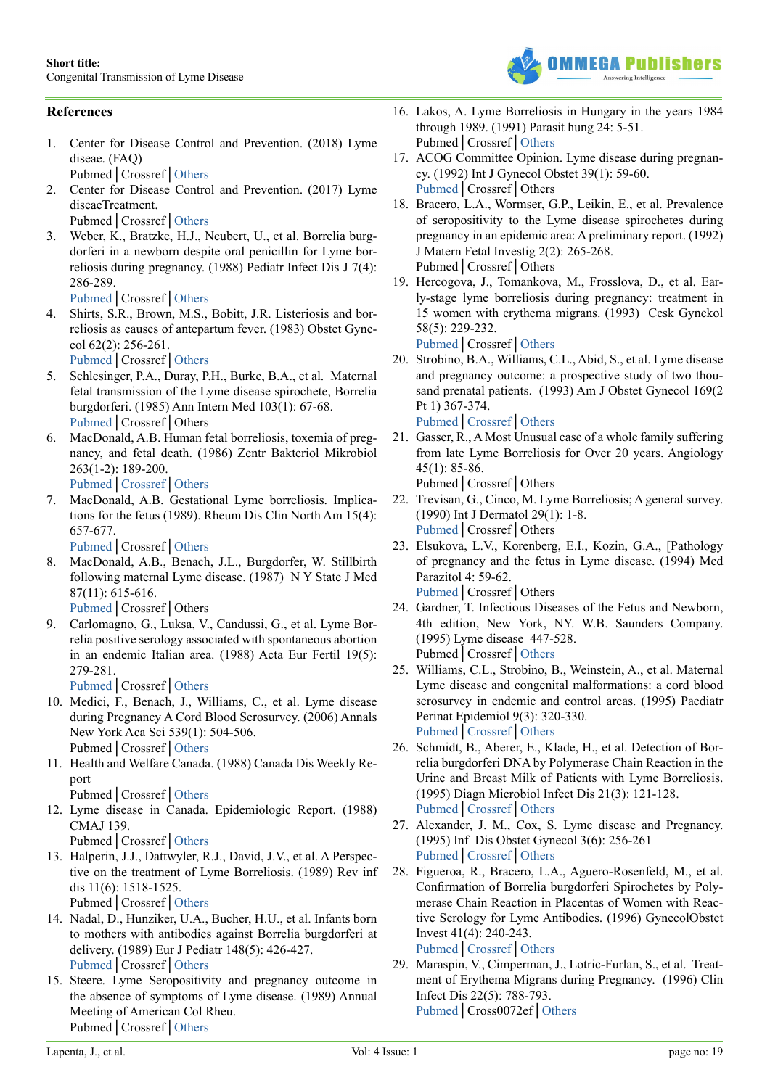

# **References**

- <span id="page-3-0"></span>1. Center for Disease Control and Prevention. (2018) Lyme diseae. (FAQ)
	- Pubmed│Crossref│[Others](https://www.cdc.gov/lyme/faq/index.html)
- <span id="page-3-1"></span>2. Center for Disease Control and Prevention. (2017) Lyme diseaeTreatment.
	- Pubmed│Crossref│[Others](https://www.cdc.gov/lyme/treatment/index.html)
- <span id="page-3-2"></span>3. Weber, K., Bratzke, H.J., Neubert, U., et al. Borrelia burgdorferi in a newborn despite oral penicillin for Lyme borreliosis during pregnancy. (1988) Pediatr Infect Dis J 7(4): 286-289.

<span id="page-3-3"></span>[Pubmed](https://www.ncbi.nlm.nih.gov/pubmed/3130607)│Crossref│[Others](https://journals.lww.com/pidj/Citation/1988/04000/Borrelia_burgdorferi_in_a_newborn_despite_oral.10.aspx)

- 4. Shirts, S.R., Brown, M.S., Bobitt, J.R. Listeriosis and borreliosis as causes of antepartum fever. (1983) Obstet Gynecol 62(2): 256-261. [Pubmed](https://www.ncbi.nlm.nih.gov/pubmed/6866369)│Crossref│[Others](https://journals.lww.com/greenjournal/Abstract/1983/08000/Listeriosis_and_borreliosis_as_causes_of.22.aspx)
- <span id="page-3-4"></span>5. Schlesinger, P.A., Duray, P.H., Burke, B.A., et al. Maternal fetal transmission of the Lyme disease spirochete, Borrelia burgdorferi. (1985) Ann Intern Med 103(1): 67-68. [Pubmed](https://www.ncbi.nlm.nih.gov/pubmed/4003991)│Crossref│Others
- <span id="page-3-5"></span>6. MacDonald, A.B. Human fetal borreliosis, toxemia of pregnancy, and fetal death. (1986) Zentr Bakteriol Mikrobiol 263(1-2): 189-200.

[Pubmed](https://www.ncbi.nlm.nih.gov/pubmed/3554838)│[Crossref](https://doi.org/10.1016/S0176-6724(86)80122-5)│[Others](https://www.sciencedirect.com/science/article/pii/S0176672486801225)

MacDonald, A.B. Gestational Lyme borreliosis. Implications for the fetus (1989). Rheum Dis Clin North Am 15(4): 657-677.

<span id="page-3-6"></span>[Pubmed](https://www.ncbi.nlm.nih.gov/pubmed/2685924)│Crossref│[Others](https://www.researchgate.net/publication/20470158_Gestational_Lyme_borreliosis_Implications_for_the_fetus)

8. MacDonald, A.B., Benach, J.L., Burgdorfer, W. Stillbirth following maternal Lyme disease. (1987) N Y State J Med 87(11): 615-616.

[Pubmed](https://www.ncbi.nlm.nih.gov/pubmed/3480464)│Crossref│Others

9. Carlomagno, G., Luksa, V., Candussi, G., et al. Lyme Borrelia positive serology associated with spontaneous abortion in an endemic Italian area. (1988) Acta Eur Fertil 19(5): 279-281.

<span id="page-3-7"></span>[Pubmed](https://www.ncbi.nlm.nih.gov/pubmed/3252658)│Crossref│[Others](https://www.semanticscholar.org/paper/Lyme-Borrelia-positive-serology-associated-with-in-Carlomagno-Luksa/485ae5a1ec04ea2242696e8552dde907a3de5886)

- 10. Medici, F., Benach, J., Williams, C., et al. Lyme disease during Pregnancy A Cord Blood Serosurvey. (2006) Annals New York Aca Sci 539(1): 504-506. Pubmed│Crossref│[Others](https://www.researchgate.net/publication/229803162_Lyme_Disease_during_Pregnancy_A_Cord_Blood_Serosurvey)
- 11. Health and Welfare Canada. (1988) Canada Dis Weekly Report

Pubmed│Crossref│[Others](https://www.lymehope.ca/advocacy-updates/health-and-welfare-canada-1988-report)

12. Lyme disease in Canada. Epidemiologic Report. (1988) CMAJ 139.

Pubmed│Crossref│[Others](https://www.lymehope.ca/advocacy-updates/health-and-welfare-canada-1988-report)

- 13. Halperin, J.J., Dattwyler, R.J., David, J.V., et al. A Perspective on the treatment of Lyme Borreliosis. (1989) Rev inf dis 11(6): 1518-1525. Pubmed│Crossref│[Others](https://academic.oup.com/cid/article-abstract/11/Supplement_6/S1518/347579?redirectedFrom=PDF)
- 14. Nadal, D., Hunziker, U.A., Bucher, H.U., et al. Infants born to mothers with antibodies against Borrelia burgdorferi at delivery. (1989) Eur J Pediatr 148(5): 426-427. [Pubmed](https://www.ncbi.nlm.nih.gov/pubmed/2920747)│Crossref│[Others](https://link.springer.com/article/10.1007/BF00595903)
- 15. Steere. Lyme Seropositivity and pregnancy outcome in the absence of symptoms of Lyme disease. (1989) Annual Meeting of American Col Rheu. Pubmed│Crossref│Others
- 16. Lakos, A. Lyme Borreliosis in Hungary in the years 1984 through 1989. (1991) Parasit hung 24: 5-51. Pubmed│Crossref│[Others](http://publication.nhmus.hu/pdf/parhung/Parasit_Hung_1991_Vol_24_5.pdf)
- 17. ACOG Committee Opinion. Lyme disease during pregnancy. (1992) Int J Gynecol Obstet 39(1): 59-60. Pubmed│Crossref│Others
- 18. Bracero, L.A., Wormser, G.P., Leikin, E., et al. Prevalence of seropositivity to the Lyme disease spirochetes during pregnancy in an epidemic area: A preliminary report. (1992) J Matern Fetal Investig 2(2): 265-268. Pubmed│Crossref│Others
- 19. Hercogova, J., Tomankova, M., Frosslova, D., et al. Early-stage lyme borreliosis during pregnancy: treatment in 15 women with erythema migrans. (1993) Cesk Gynekol 58(5): 229-232.

[Pubmed](https://www.ncbi.nlm.nih.gov/pubmed/8221915)│Crossref│[Others](https://www.researchgate.net/publication/14977203_Early-stage_lyme_borreliosis_during_pregnancy_treatment_in_15_women_with_erythema_migrans)

- 20. Strobino, B.A., Williams, C.L., Abid, S., et al. Lyme disease and pregnancy outcome: a prospective study of two thousand prenatal patients. (1993) Am J Obstet Gynecol 169(2 Pt 1) 367-374. [Pubmed](https://www.ncbi.nlm.nih.gov/pubmed/8362948)│[Crossref](https://doi.org/10.1016/0002-9378(93)90088-Z)│[Others](https://www.researchgate.net/publication/14836253_Lyme_disease_and_pregnancy_outcome_A_prospective_study_of_two_thousand_prenatal_patients)
- 21. Gasser, R., A Most Unusual case of a whole family suffering from late Lyme Borreliosis for Over 20 years. Angiology 45(1): 85-86.

Pubmed│Crossref│Others

- 22. Trevisan, G., Cinco, M. Lyme Borreliosis; A general survey. (1990) Int J Dermatol 29(1): 1-8. [Pubmed](https://www.ncbi.nlm.nih.gov/pubmed/2133980)│Crossref│Others
- 23. Elsukova, L.V., Korenberg, E.I., Kozin, G.A., [Pathology of pregnancy and the fetus in Lyme disease. (1994) Med Parazitol 4: 59-62. [Pubmed](https://www.ncbi.nlm.nih.gov/pubmed/7715559)│Crossref│Others
- 24. Gardner, T. Infectious Diseases of the Fetus and Newborn, 4th edition, New York, NY. W.B. Saunders Company. (1995) Lyme disease 447-528. Pubmed│Crossref│Others
- 25. Williams, C.L., Strobino, B., Weinstein, A., et al. Maternal Lyme disease and congenital malformations: a cord blood serosurvey in endemic and control areas. (1995) Paediatr Perinat Epidemiol 9(3): 320-330. [Pubmed](https://www.ncbi.nlm.nih.gov/pubmed/7479280)│[Crossref](https://doi.org/10.1111/j.1365-3016.1995.tb00148.x)│[Others](https://onlinelibrary.wiley.com/doi/abs/10.1111/j.1365-3016.1995.tb00148.x)
- 26. Schmidt, B., Aberer, E., Klade, H., et al. Detection of Borrelia burgdorferi DNA by Polymerase Chain Reaction in the Urine and Breast Milk of Patients with Lyme Borreliosis. (1995) Diagn Microbiol Infect Dis 21(3): 121-128. [Pubmed](https://www.ncbi.nlm.nih.gov/pubmed/7648832)│[Crossref](https://doi.org/10.1016/0732-8893(95)00027-8)│[Others](https://www.sciencedirect.com/science/article/pii/0732889395000278)
- 27. Alexander, J. M., Cox, S. Lyme disease and Pregnancy. (1995) Inf Dis Obstet Gynecol 3(6): 256-261 [Pubmed](https://www.ncbi.nlm.nih.gov/pubmed/18476053)│[Crossref](https://doi.org/10.1155/S1064744995000755)│[Others](https://www.hindawi.com/journals/idog/1995/140124/abs/)
- 28. Figueroa, R., Bracero, L.A., Aguero-Rosenfeld, M., et al. Confirmation of Borrelia burgdorferi Spirochetes by Polymerase Chain Reaction in Placentas of Women with Reactive Serology for Lyme Antibodies. (1996) GynecolObstet Invest 41(4): 240-243. [Pubmed](https://www.ncbi.nlm.nih.gov/pubmed/8793493)│[Crossref](https://doi.org/10.1159/000292277)│[Others](https://www.karger.com/Article/Pdf/292277)
- 29. Maraspin, V., Cimperman, J., Lotric-Furlan, S., et al. Treatment of Erythema Migrans during Pregnancy. (1996) Clin Infect Dis 22(5): 788-793. [Pubmed](https://www.ncbi.nlm.nih.gov/pubmed/8722932)│Cross0072ef│Others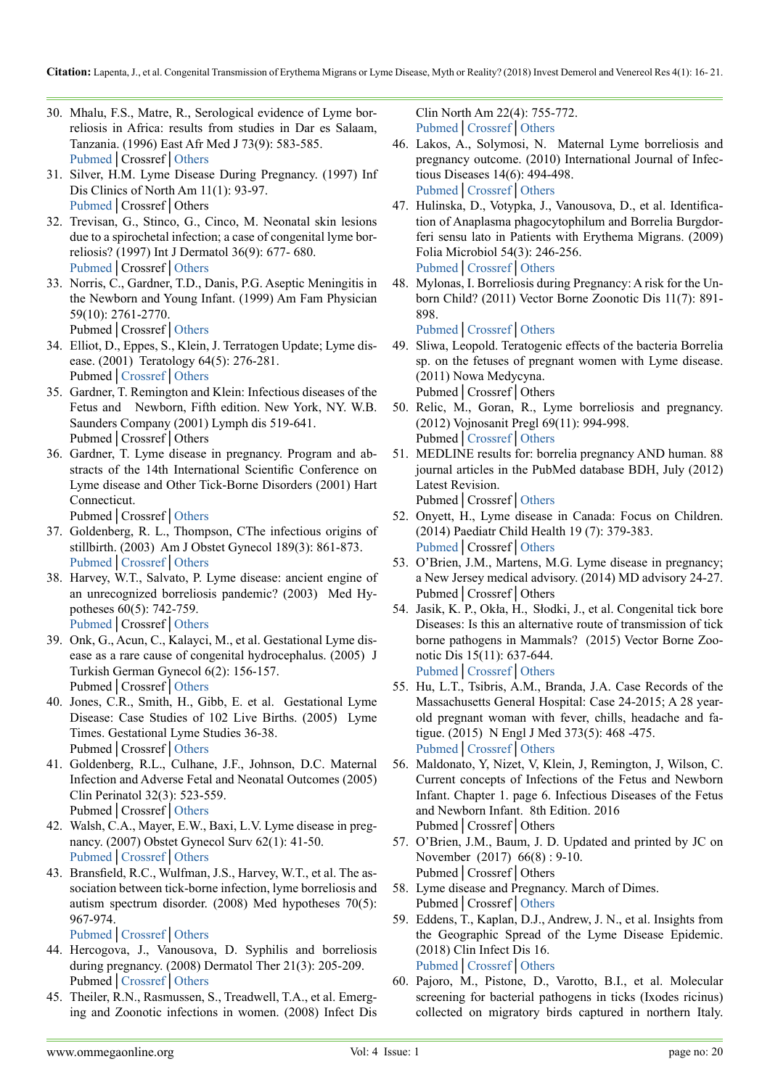- 30. Mhalu, F.S., Matre, R., Serological evidence of Lyme borreliosis in Africa: results from studies in Dar es Salaam, Tanzania. (1996) East Afr Med J 73(9): 583-585. [Pubmed](https://www.ncbi.nlm.nih.gov/pubmed/8991238)│Crossref│[Others](https://www.researchgate.net/publication/14217420_Serological_evidence_of_lyme_borreliosis_in_Africa_Results_from_studies_in_Dar_es_Salaam_Tanzania)
- 31. Silver, H.M. Lyme Disease During Pregnancy. (1997) Inf Dis Clinics of North Am 11(1): 93-97. [Pubmed](https://www.ncbi.nlm.nih.gov/pubmed/9067786)│Crossref│Others
- 32. Trevisan, G., Stinco, G., Cinco, M. Neonatal skin lesions due to a spirochetal infection; a case of congenital lyme borreliosis? (1997) Int J Dermatol 36(9): 677- 680. [Pubmed](https://www.ncbi.nlm.nih.gov/pubmed/9352409)│Crossref│[Others](https://www.researchgate.net/publication/13877812_Neonatal_skin_lesions_due_to_a_spirochetal_infection_A_case_of_congenital_Lyme_borreliosis)
- 33. Norris, C., Gardner, T.D., Danis, P.G. Aseptic Meningitis in the Newborn and Young Infant. (1999) Am Fam Physician 59(10): 2761-2770. Pubmed│Crossref│[Others](http://connection.ebscohost.com/c/articles/1897615/aseptic-meningitis-newborn-young-infant)
- 34. Elliot, D., Eppes, S., Klein, J. Terratogen Update; Lyme disease. (2001) Teratology 64(5): 276-281. Pubmed│[Crossref](https://doi.org/10.1002/tera.1074)│[Others](https://onlinelibrary.wiley.com/doi/pdf/10.1002/tera.1074)
- 35. Gardner, T. Remington and Klein: Infectious diseases of the Fetus and Newborn, Fifth edition. New York, NY. W.B. Saunders Company (2001) Lymph dis 519-641. Pubmed│Crossref│Others
- 36. Gardner, T. Lyme disease in pregnancy. Program and abstracts of the 14th International Scientific Conference on Lyme disease and Other Tick-Borne Disorders (2001) Hart Connecticut.
	- Pubmed│Crossref│Others
- 37. Goldenberg, R. L., Thompson, CThe infectious origins of stillbirth. (2003) Am J Obstet Gynecol 189(3): 861-873. [Pubmed](https://www.ncbi.nlm.nih.gov/pubmed/14526331)│[Crossref](https://doi.org/10.1067/S0002-9378(03)00470-8)│[Others](https://www.sciencedirect.com/science/article/pii/S0002937803004708)
- 38. Harvey, W.T., Salvato, P. Lyme disease: ancient engine of an unrecognized borreliosis pandemic? (2003) Med Hypotheses 60(5): 742-759. [Pubmed](https://www.ncbi.nlm.nih.gov/pubmed/12710914)│Crossref│[Others](https://www.semanticscholar.org/paper/‘-Lyme-disease-’-%3A-ancient-engine-of-an-borreliosis-Harvey-Salvato/3b8eb633bcf81a8fefec6cc0f9c4fbcbd108dac3)
- 39. Onk, G., Acun, C., Kalayci, M., et al. Gestational Lyme disease as a rare cause of congenital hydrocephalus. (2005) J Turkish German Gynecol 6(2): 156-157. Pubmed│Crossref│[Others](https://utsouthwestern.influuent.utsystem.edu/en/publications/gestational-lyme-disease-as-a-rare-cause-of-congenital-hydrocepha)
- 40. Jones, C.R., Smith, H., Gibb, E. et al. Gestational Lyme Disease: Case Studies of 102 Live Births. (2005) Lyme Times. Gestational Lyme Studies 36-38. Pubmed│Crossref│[Others](https://www.lymedisease.org/wp-content/uploads/2014/08/Image21-Gestational-Lyme-Studies.pdf)
- <span id="page-4-1"></span>41. Goldenberg, R.L., Culhane, J.F., Johnson, D.C. Maternal Infection and Adverse Fetal and Neonatal Outcomes (2005) Clin Perinatol 32(3): 523-559. Pubmed│Crossref│[Others](https://www.ncbi.nlm.nih.gov/pubmed/16085019)
- 42. Walsh, C.A., Mayer, E.W., Baxi, L.V. Lyme disease in pregnancy. (2007) Obstet Gynecol Surv 62(1): 41-50. [Pubmed](https://www.ncbi.nlm.nih.gov/pubmed/17176487)│[Crossref](https://doi.org/10.1097/01.ogx.0000251024.43400.9a)│[Others](https://insights.ovid.com/crossref?an=00006254-200701000-00022)
- 43. Bransfield, R.C., Wulfman, J.S., Harvey, W.T., et al. The association between tick-borne infection, lyme borreliosis and autism spectrum disorder. (2008) Med hypotheses 70(5): 967-974.

[Pubmed](https://www.ncbi.nlm.nih.gov/pubmed/17980971)│[Crossref](https://doi.org/10.1016/j.mehy.2007.09.006)│[Others](https://www.sciencedirect.com/science/article/pii/S0306987707005786)

- 44. Hercogova, J., Vanousova, D. Syphilis and borreliosis during pregnancy. (2008) Dermatol Ther 21(3): 205-209. Pubmed│[Crossref](https://doi.org/10.1111/j.1529-8019.2008.00192.x)│[Others](https://onlinelibrary.wiley.com/doi/abs/10.1111/j.1529-8019.2008.00192.x)
- 45. Theiler, R.N., Rasmussen, S., Treadwell, T.A., et al. Emerging and Zoonotic infections in women. (2008) Infect Dis

Clin North Am 22(4): 755-772. [Pubmed](https://www.ncbi.nlm.nih.gov/pubmed/18954762)│[Crossref](https://doi.org/10.1016/j.idc.2008.05.007)│[Others](https://www.sciencedirect.com/science/article/pii/S0891552008000470?via%3Dihub)

- 46. Lakos, A., Solymosi, N. Maternal Lyme borreliosis and pregnancy outcome. (2010) International Journal of Infectious Diseases 14(6): 494-498. [Pubmed](https://www.ncbi.nlm.nih.gov/pubmed/19926325)│[Crossref](https://doi.org/10.1016/j.ijid.2009.07.019)│[Others](https://www.sciencedirect.com/science/article/pii/S1201971209003312)
- 47. Hulinska, D., Votypka, J., Vanousova, D., et al. Identification of Anaplasma phagocytophilum and Borrelia Burgdorferi sensu lato in Patients with Erythema Migrans. (2009) Folia Microbiol 54(3): 246-256. [Pubmed](https://www.ncbi.nlm.nih.gov/pubmed/19649743)│[Crossref](https://doi.org/10.1007/s12223-009-0039-0)│[Others](https://link.springer.com/article/10.1007/s12223-009-0039-0)
- 48. Mylonas, I. Borreliosis during Pregnancy: A risk for the Unborn Child? (2011) Vector Borne Zoonotic Dis 11(7): 891- 898.

[Pubmed](https://www.ncbi.nlm.nih.gov/pubmed/20925520)│[Crossref](https://doi.org/10.1089/vbz.2010.0102)│[Others](https://www.semanticscholar.org/paper/Borreliosis-during-pregnancy%3A-a-risk-for-the-unborn-Mylonas/4690a7fffb89b9af9c279a0f8349d417ad2fd636)

- 49. Sliwa, Leopold. Teratogenic effects of the bacteria Borrelia sp. on the fetuses of pregnant women with Lyme disease. (2011) Nowa Medycyna. Pubmed│Crossref│Others
- 50. Relic, M., Goran, R., Lyme borreliosis and pregnancy. (2012) Vojnosanit Pregl 69(11): 994-998. Pubmed│Crossref│[Others](https://www.researchgate.net/publication/234120438_Lyme_borreliosis_and_pregnancy)
- 51. MEDLINE results for: borrelia pregnancy AND human. 88 journal articles in the PubMed database BDH, July (2012) Latest Revision.

Pubmed│Crossref│[Others](https://www.nlm.nih.gov/bsd/pmresources.html)

- 52. Onyett, H., Lyme disease in Canada: Focus on Children. (2014) Paediatr Child Health 19 (7): 379-383. [Pubmed](https://www.ncbi.nlm.nih.gov/pubmed/25332678)│Crossref│[Others](https://www.semanticscholar.org/paper/Lyme-disease-in-Canada%3A-Focus-on-children.-Onyett/4e7b58ea8ae78868154af85e77dbddf747626600)
- <span id="page-4-0"></span>53. O'Brien, J.M., Martens, M.G. Lyme disease in pregnancy; a New Jersey medical advisory. (2014) MD advisory 24-27. Pubmed│Crossref│Others
- <span id="page-4-2"></span>54. Jasik, K. P., Okła, H., Słodki, J., et al. Congenital tick bore Diseases: Is this an alternative route of transmission of tick borne pathogens in Mammals? (2015) Vector Borne Zoonotic Dis 15(11): 637-644. [Pubmed](https://www.ncbi.nlm.nih.gov/pubmed/26565770)│Crossref│[Others](http://agris.fao.org/agris-search/search.do?recordID=US201600312799)
- 55. Hu, L.T., Tsibris, A.M., Branda, J.A. Case Records of the Massachusetts General Hospital: Case 24-2015; A 28 yearold pregnant woman with fever, chills, headache and fatigue. (2015) N Engl J Med 373(5): 468 -475. [Pubmed](https://www.ncbi.nlm.nih.gov/pubmed/26222563)│Crossref│[Others](https://www.nejm.org/medical-articles/case-records-of-the-massachusetts-general-hospital?topic=18&sort=score&date=past10Years&articletype=case-records-of-the-massachusetts-general-hospital&page=4)
- 56. Maldonato, Y, Nizet, V, Klein, J, Remington, J, Wilson, C. Current concepts of Infections of the Fetus and Newborn Infant. Chapter 1. page 6. Infectious Diseases of the Fetus and Newborn Infant. 8th Edition. 2016 Pubmed│Crossref│Others
- 57. O'Brien, J.M., Baum, J. D. Updated and printed by JC on November (2017) 66(8) : 9-10. Pubmed│Crossref│Others
- 58. Lyme disease and Pregnancy. March of Dimes. Pubmed│Crossref│[Others](https://www.marchofdimes.org/complications/lyme-disease-and-pregnancy.aspx)
- 59. Eddens, T., Kaplan, D.J., Andrew, J. N., et al. Insights from the Geographic Spread of the Lyme Disease Epidemic. (2018) Clin Infect Dis 16. [Pubmed](https://www.ncbi.nlm.nih.gov/pubmed/29920580)│[Crossref](https://doi.org/10.1093/cid/ciy510)│[Others](https://academic.oup.com/cid/advance-article-abstract/doi/10.1093/cid/ciy510/5039131?redirectedFrom=PDF)
- 60. Pajoro, M., Pistone, D., Varotto, B.I., et al. Molecular screening for bacterial pathogens in ticks (Ixodes ricinus) collected on migratory birds captured in northern Italy.